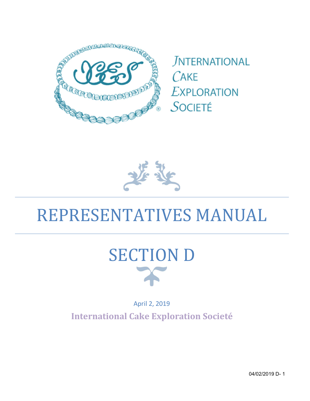

**JNTERNATIONAL**  $C$ AKE **EXPLORATION** SOCIETÉ



# REPRESENTATIVES MANUAL



April 2, 2019 International Cake Exploration Societé

04/02/2019 D- 1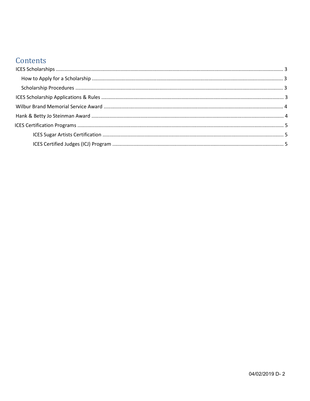#### Contents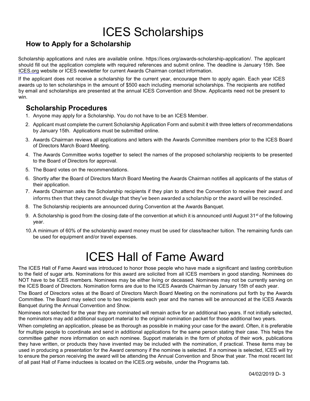### ICES Scholarships

#### How to Apply for a Scholarship

Scholarship applications and rules are available online. https://ices.org/awards-scholarship-application/. The applicant should fill out the application complete with required references and submit online. The deadline is January 15th. See ICES.org website or ICES newsletter for current Awards Chairman contact information.

If the applicant does not receive a scholarship for the current year, encourage them to apply again. Each year ICES awards up to ten scholarships in the amount of \$500 each including memorial scholarships. The recipients are notified by email and scholarships are presented at the annual ICES Convention and Show. Applicants need not be present to win.

#### Scholarship Procedures

- 1. Anyone may apply for a Scholarship. You do not have to be an ICES Member.
- 2. Applicant must complete the current Scholarship Application Form and submit it with three letters of recommendations by January 15th. Applications must be submitted online.
- 3. Awards Chairman reviews all applications and letters with the Awards Committee members prior to the ICES Board of Directors March Board Meeting.
- 4. The Awards Committee works together to select the names of the proposed scholarship recipients to be presented to the Board of Directors for approval.
- 5. The Board votes on the recommendations.
- 6. Shortly after the Board of Directors March Board Meeting the Awards Chairman notifies all applicants of the status of their application.
- 7. Awards Chairman asks the Scholarship recipients if they plan to attend the Convention to receive their award and informs then that they cannot divulge that they've been awarded a scholarship or the award will be rescinded.
- 8. The Scholarship recipients are announced during Convention at the Awards Banquet.
- 9. A Scholarship is good from the closing date of the convention at which it is announced until August  $31<sup>st</sup>$  of the following year.
- 10. A minimum of 60% of the scholarship award money must be used for class/teacher tuition. The remaining funds can be used for equipment and/or travel expenses.

### ICES Hall of Fame Award

The ICES Hall of Fame Award was introduced to honor those people who have made a significant and lasting contribution to the field of sugar arts. Nominations for this award are solicited from all ICES members in good standing. Nominees do NOT have to be ICES members. Nominees may be either living or deceased. Nominees may not be currently serving on the ICES Board of Directors. Nomination forms are due to the ICES Awards Chairman by January 15th of each year.

The Board of Directors votes at the Board of Directors March Board Meeting on the nominations put forth by the Awards Committee. The Board may select one to two recipients each year and the names will be announced at the ICES Awards Banquet during the Annual Convention and Show.

Nominees not selected for the year they are nominated will remain active for an additional two years. If not initially selected, the nominators may add additional support material to the original nomination packet for those additional two years.

When completing an application, please be as thorough as possible in making your case for the award. Often, it is preferable for multiple people to coordinate and send in additional applications for the same person stating their case. This helps the committee gather more information on each nominee. Support materials in the form of photos of their work, publications they have written, or products they have invented may be included with the nomination, if practical. These items may be used in producing a presentation for the Award ceremony if the nominee is selected. If a nominee is selected, ICES will try to ensure the person receiving the award will be attending the Annual Convention and Show that year. The most recent list of all past Hall of Fame inductees is located on the ICES.org website, under the Programs tab.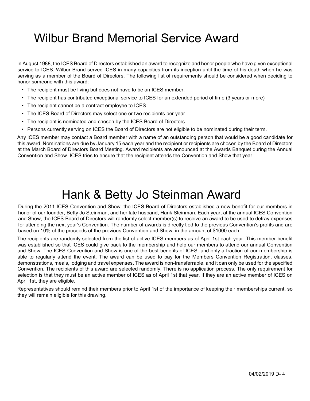### Wilbur Brand Memorial Service Award

In August 1988, the ICES Board of Directors established an award to recognize and honor people who have given exceptional service to ICES. Wilbur Brand served ICES in many capacities from its inception until the time of his death when he was serving as a member of the Board of Directors. The following list of requirements should be considered when deciding to honor someone with this award:

- The recipient must be living but does not have to be an ICES member.
- The recipient has contributed exceptional service to ICES for an extended period of time (3 years or more)
- The recipient cannot be a contract employee to ICES
- The ICES Board of Directors may select one or two recipients per year
- The recipient is nominated and chosen by the ICES Board of Directors.
- Persons currently serving on ICES the Board of Directors are not eligible to be nominated during their term.

Any ICES member may contact a Board member with a name of an outstanding person that would be a good candidate for this award. Nominations are due by January 15 each year and the recipient or recipients are chosen by the Board of Directors at the March Board of Directors Board Meeting. Award recipients are announced at the Awards Banquet during the Annual Convention and Show. ICES tries to ensure that the recipient attends the Convention and Show that year.

### Hank & Betty Jo Steinman Award

During the 2011 ICES Convention and Show, the ICES Board of Directors established a new benefit for our members in honor of our founder, Betty Jo Steinman, and her late husband, Hank Steinman. Each year, at the annual ICES Convention and Show, the ICES Board of Directors will randomly select member(s) to receive an award to be used to defray expenses for attending the next year's Convention. The number of awards is directly tied to the previous Convention's profits and are based on 10% of the proceeds of the previous Convention and Show, in the amount of \$1000 each.

The recipients are randomly selected from the list of active ICES members as of April 1st each year. This member benefit was established so that ICES could give back to the membership and help our members to attend our annual Convention and Show. The ICES Convention and Show is one of the best benefits of ICES, and only a fraction of our membership is able to regularly attend the event. The award can be used to pay for the Members Convention Registration, classes, demonstrations, meals, lodging and travel expenses. The award is non-transferrable, and it can only be used for the specified Convention. The recipients of this award are selected randomly. There is no application process. The only requirement for selection is that they must be an active member of ICES as of April 1st that year. If they are an active member of ICES on April 1st, they are eligible.

Representatives should remind their members prior to April 1st of the importance of keeping their memberships current, so they will remain eligible for this drawing.